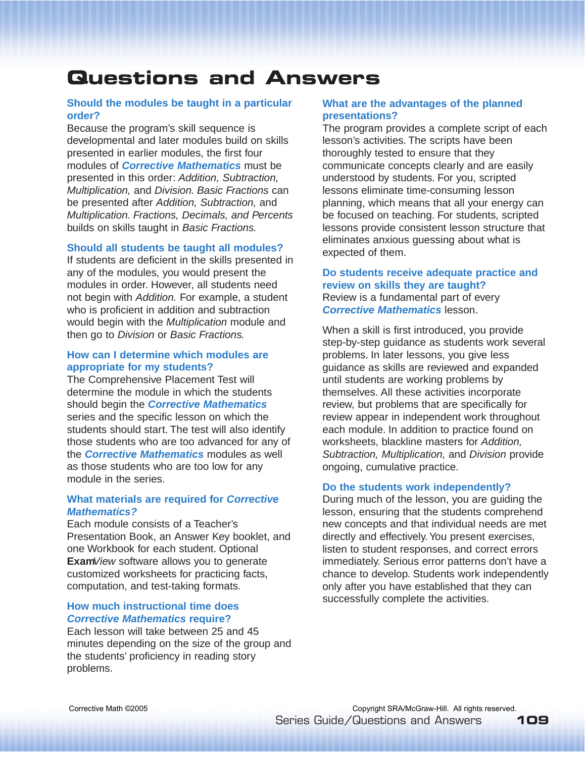# **Questions and Answers**

## **Should the modules be taught in a particular order?**

Because the program's skill sequence is developmental and later modules build on skills presented in earlier modules, the first four modules of **Corrective Mathematics** must be presented in this order: Addition, Subtraction, Multiplication, and Division. Basic Fractions can be presented after Addition, Subtraction, and Multiplication. Fractions, Decimals, and Percents builds on skills taught in Basic Fractions.

#### **Should all students be taught all modules?**

If students are deficient in the skills presented in any of the modules, you would present the modules in order. However, all students need not begin with Addition. For example, a student who is proficient in addition and subtraction would begin with the Multiplication module and then go to Division or Basic Fractions.

#### **How can I determine which modules are appropriate for my students?**

The Comprehensive Placement Test will determine the module in which the students should begin the **Corrective Mathematics** series and the specific lesson on which the students should start. The test will also identify those students who are too advanced for any of the **Corrective Mathematics** modules as well as those students who are too low for any module in the series.

#### **What materials are required for Corrective Mathematics?**

Each module consists of a Teacher's Presentation Book, an Answer Key booklet, and one Workbook for each student. Optional **Exam**View software allows you to generate customized worksheets for practicing facts, computation, and test-taking formats.

#### **How much instructional time does Corrective Mathematics require?**

Each lesson will take between 25 and 45 minutes depending on the size of the group and the students' proficiency in reading story problems.

#### **What are the advantages of the planned presentations?**

The program provides a complete script of each lesson's activities. The scripts have been thoroughly tested to ensure that they communicate concepts clearly and are easily understood by students. For you, scripted lessons eliminate time-consuming lesson planning, which means that all your energy can be focused on teaching. For students, scripted lessons provide consistent lesson structure that eliminates anxious guessing about what is expected of them.

## **Do students receive adequate practice and review on skills they are taught?** Review is a fundamental part of every **Corrective Mathematics** lesson.

When a skill is first introduced, you provide step-by-step guidance as students work several problems. In later lessons, you give less guidance as skills are reviewed and expanded until students are working problems by themselves. All these activities incorporate review, but problems that are specifically for review appear in independent work throughout each module. In addition to practice found on worksheets, blackline masters for Addition, Subtraction, Multiplication, and Division provide ongoing, cumulative practice.

#### **Do the students work independently?**

During much of the lesson, you are guiding the lesson, ensuring that the students comprehend new concepts and that individual needs are met directly and effectively. You present exercises, listen to student responses, and correct errors immediately. Serious error patterns don't have a chance to develop. Students work independently only after you have established that they can successfully complete the activities.